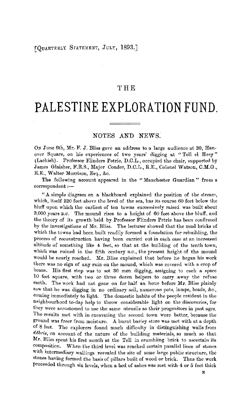## [QUARTERLY STATEMENT, JULY, 1893.]

## 'l'HE

# **PALESTINE EXPLORATION FUND.**

## NOTES AND NEWS.

ON June 6th, Mr. F. J. Bliss gave an address to a large audience at 20, Hanover Square, on his experiences of two years' digging at "Tell el Hesy" (Lachish). Professor Flinders Petrie, D.C.L., occupied the chair, supported by James Glaisher, F.R.S., Major Conder, D.C.L., R.E., Colonel Watson, C.M.G., R.E., Walter Morrison, Esq., &c.

The following account appeared in the "Manchester Guardian" from a correspondent :-

"  $\Delta$  simple diagram on a blackboard explained the position of the stream, which, itself 220 feet above the level of the sea, has its comse 60 feet below the bluff upon which the earliest of ten towns successively raised was built about 3,000 years B.C. The mound rises to a height of 60 feet above the bluff, and the theory of its growth held by Professor Flinders Petrie has been confirmed by the investigations of Mr. Bliss. The lecturer showed that the mud bricks of which the towns had been built readily formed a foundation for rebuilding, the process of reconstruction having been carried out **in** each case at an increased altitude of something like 4 feet, so that at the building of the tenth town, which was ruined in the fifth century B.O., the present height of the mound would be nearly reached. Mr. Bliss explained that before he began his work there was no sign of any ruin on the mound, which was covered with a crop of beans. His first step was to set 30 men digging, assigning to each a space 10 feet square, with two or three dozen helpers to carry away the refuse earth. The work had not gone on for half an hour before **Mr.** Bliss plainly saw that he was digging in no ordinary soil, numerous pots, lamps, beads, &c., coming immediately to light. The domestic habits of the people resident in the neighbourhood to-day help to throw considerable light on the discoveries, for they were accustomed to use the same utensils as their progenitors in past ages. The results met with in excavating the second town were better, because the ground was freer from moisture. A burnt barley store was met with at a depth of 8 feet. The explorers found much difficulty in distinguishing walls from *debris,* on account of the nature of the building materials, so much so that Mr. Bliss spent his first month at the Tell in crumbling brick to ascertain its composition. When the third level was reached certain parallel lines of stones with intermediary wallings revealed the site of some large public structure, the stones having formed the basis of pillars built of wood or brick. Thus the work proceeded through six levels, when a bed of ashes was met with 4 or 5 feet thick

**N**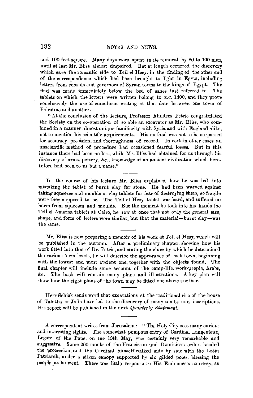and 100 feet square. Many days were spent in its removal by 80 to 100 men, until at last Mr. Bliss almost despaired. But at length occurred the discovery which gave the romantic side to Tell el Hesy, in the finding of the other end of the correspondence which had been brought to light in Egypt, including letters from consuls and governors of Syrian towns to the kings of Egypt. The find was made immediately below the bed of ashes just referred to. The tablets on which the letters were written belong to B.C. 1400, and they prove conclusively the use of cuneiform writing at that date between one town of Palestine and another.

**"At** the conclusion of the lecture, Professor Flinders Petric congratulated the Society on the co-operation of so able an excavator as Mr. Bliss, who combined in a manner almost unique familiarity with Syria and with England alike, not to mention his scientific acquirements. His method was not to be surpassed for accuracy, precision, and thoroughness of record. In certain other cases an unscientific method of procedure hnd occasioned fearful losses. But in **this**  instance there had been no loss, while Mr. Bliss had obtained for us through his discovery of arms, pottery, &c., knowledge of an ancient civilisation which heretofore had been to us but a name."

In the course of his kcture Mr. Bliss explained how he was led into mistaking the tablet of burnt clay for stone. He had been warned against taking squeezes and moulds of clay tablets for fear of destroying them, so fragile were they supposed to be. The Tell el Hesy tablet was hard, and suffered no harm from squeezes and moulds. But the moment he took into his hands the Tell el Amarna tablets at Cairo, he saw at once that not only the general size, shape, and form of letters were similar, but that the material-burnt clay-was the same.

Mr. Bliss is now preparing a memoir of his work at Tell el Hesy, whicli will be published in the autumn. After a preliminary chapter, showing how his work fitted into that of Dr. Petrie, and stating the clues by which he determined the various town-levels, he will describe the appearance of each town, beginning with the lowest and most ancient one, together with the objects found. The final chapter will include some account of the camp-life, work-people, Arabs, &c. The book will contain many plans and illustrations. A key plan will show how the eight plans of the town may be fitted one above another.

Herr Schick sends word that excavations at the traditional site of the house of Tabitha at Jaffa have led to the discovery of many tombs and inscriptions. His report will be published in the next *Quarterly Statement.* 

A correspondent writes from Jerusalem :- "The Holy City sees many curious and interesting sights. The somewhat pompous entry of Cardinal Langenieux, Legate of the Pope, on the 13th May, was certainly very remarkable and suggestive. Some 200 monks of the Franciscan and Dominican orders headed the procession, and the Cardinal himself walked side by side with the Latin Patriarch, under a silken canopy supported by six gilded poles, blessing the people as he went. There was little response to His Eminence's courtesy, as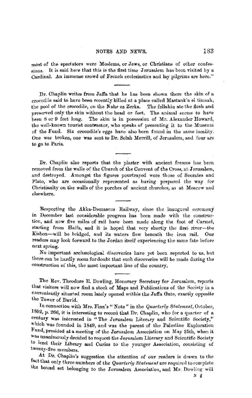#### NOTES AND NEWS. 283

most of the spectators were Moslems, or Jews, or Christians of other confessions. It is said here that this is the first time Jerusalem has been visited by a Cardinal. An immense crowd of French ecclesiastics and lay pilgrims are here."

Dr. Chaplin writes from Jaffa that he has been shown there the skin of a crocodile said to have been recently killed at a place called Mastank'a el timsah, the pool of the crocodile, on the Nahr ez Zerka. The fellahin ate the flesh and preserved only the skin without the head or feet. The animal seems to have been 8 or 9 feet long. The skin is in possession of Mr. Alexander Howard, the well-known tourist contractor, who speaks of presenting it to the Museum of the Fund. Six crocodile's eggs have also been found in the same locality. One was broken, one was sent to Dr. Selah Merrill, of Jerusalem, and four are to go to Paris.

Dr. Chaplin also reports that the plaster with ancient frescos has been removed from the walls of the Church of the Convent of the Cross, at Jerusalem, and destroyed. Amongst the figures pourtrayed were those of Socrates and Plato, who are occasionally represented as having prepared the way for Christianity on the walls of the porches of ancient churches, as at Moscow and elsewhere.

Respecting the Akka-Damascus Railway, since the inaugural ceremony in December last considerable progress has been made with the construction, and now five miles of rail have been made along the foot of Carmel, starting from Haifa, and it is hoped that very shortly the first river-the Kishon-will be bridged, and its waters flow beneath the iron rail. Onr readers may look forward to the Jordan itself experiencing the same fate before next spring.

No important archreological discoveries have yet been reported to us, but there can be hardly room for doubt that such discoveries will be made during the construction of this, the most important line of the country.

The Rev. Theodore E. Dowling, Honorary Secretary for Jerusalem, reports that visitors will now find a stock of Maps and Publications of the Society in a conveniently situated room lately opened *within* the Jaffa Gate, exactly opposite the Tower of David.

In connection with Mrs. Finn's " Note " in the *Quarterly Statement*, October, l892, p. 266, it is interesting to record that Dr. Chaplin, who for a quarter of a century was interested in "The Jerusalem Literary and Scientific Society," which was founded in 1849, and was the parent of the Palestine Exploration Fund, presided at a meeting of the Jerusalem Association on May 25th, when it was unanimously decided to request the Jerusalem Literary and Scientific Society to lend their Library and Curios to the younger Association, consisting of twenty-five members.

At Dr. Chaplin's suggestion the attention of our readers is drawn to the fact that only three numbers of the *Quarterly Statement* are required to complete the bound set belonging to the Jerusalem Association, and Mr. Dowling will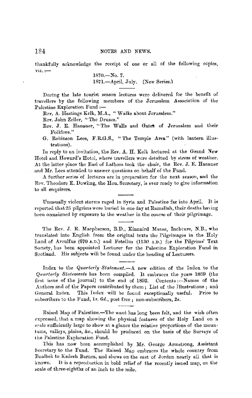thankfully acknowledge the receipt of one or all of the following ccpies, **VIZ.:-**

1870.-No. *7.*  1871.-April, July. (New Series.)

During the late tourist season lectures were delivered for the benefit of travellers by the following members of the Jerusalem Association of the Palestine Exploration Fund :-

Rev. A. Hastings Kelk, M.A., "Walks about Jerusalem."

Rev. John Zeller, "The Druzcs."

- Rev. J. E. Hanauer, "The Walls and Gates of Jerusalem and their Folklore."
- G. Robinson Lees, F.R.G.S., "The Temple Area" (with lantern illustrations).

In reply to an invitation, the Rev. A. II. Kelk lectured at the Grand New Hotei and Howard's Hotel, where travellers were detained by stress of weather. At the latter place the Earl of Lathom took the chair, the Rev. J. E. Hanauer and Mr. Lees attended to answer questions on behalf of the Fund.

A further series of lectures are in preparation for the next season, and the Rev. Theodore E. Dowling, the Hon. Secretary, is ever ready to give information to all enquirers.

Unusually violent storms raged in Syria and Paiestine far into April. It **is**  reported that 25 pilgrims were buried in one day at Ramallah, their deaths having been occasioned by exposure to the weather in the course of their pilgrimage.

The Rev. J. R. Macpherson, B.D., Kinnaird Manse, Incbture, N.B., who translated into English from the original texts the Pilgrimages **in** the Holy Land of Arculfus (670 A.D.) and Fetellus (1130 A.D.) for the Pilgrims' Text Society, has been appointed Lecturer for the Palestine Exploration Fund in Scotland. His subjects will be found under the heading of Lecturers.

Index to the *Quarterly Statement.-A* new edition of the Index to the *Quarterly Statements* has been compiled. It embraces the years 1869 (the first issue of the journal) to the end of 1892. Contents :- Names of the Authors and of the Papers contributed by them ; List of the Illustrations ; and General Index. This Index will be found exceptionally useful. Price to subscribers to the Fund, ls. 6d., post free ; non-subscribers, 2s.

Raised Map of Palestine.-The want has long been felt, and the wish often expressed, that a map showing the physical features of the Holy Land on a scale sufficiently large to show at a glance the relative proportions of the mountams, valleys, plains, &c., should be produced on the basis of the Surveys of the Palestine Exploration Fund.

This has now been accomplished by Mr. George Armstrong, Assistant Secretary to the Fund. The Raised Map embraces the whole country from Baalbek to Kadesh Barnea, and shows on the east of Jordan nearly all that is known. It is a reproduction in bold relief of the recently issued map, on the scale of three-eighths of an inch to the mile.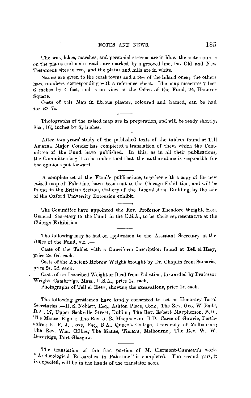The seas, lakes, marshes, and perennial streams are in blue, the watercourses on the plains and main roads are marked by a grooved line, the Old and  $New$ Testament sites in red, and the plains and hills are in white.

Names are given to the coast towns and a few of the inland ones; the others have numbers corresponding with a reference sheet. The map measures 7 feet 6 inches by 4 feet, and is on view at the Office of the Fund, 24, Hanonr Square.

Casts of this Map in fibrous plaster, coloured and framed, can be had for *£7 7s.* 

Photographs of the raised map are in preparation, and will be ready shortly'. Size,  $16\frac{1}{2}$  inches by  $8\frac{1}{2}$  inches.

After two years' study of the published texts of the tablets found at Tell Amarna, Major Conder has completed a translation of them which the Com• mittee of the Fund have published. In this, as in all their publications, the Committee beg it to be understood that the author alone is responsible for the opinions put forward.

A complete set of the Fund's publications, together with a copy of the new raised map of Palestine, have been sent to the Chicago Exhibition, and will be found in the British Section, Gallery of the Liberal Aris Iluilding, by **the** side of the Oxford University Extension exhibit.

The Committee have appointed the Rev. Professor Theodore Wright, Hon. General Secretary to the Fund in the U.S.A., to be their representative at the Chicago Exhibition.

The following may be had on application to the Assistant Secretary at the Office of the Fund, viz. :—

Casts of the Tablet with a Cuneiform Inscription found at Tell el Hesy, price *2s. 6d.* each.

Casts of the Ancient Hebrew \Veight brought by Dr. Chaplin from Samaria, price 2s. 6d. each.

Casts of an Inscribed Weight or Bead from Palestine, forwarded by Professor Wright, Cambridge, Mass., U.S.A., price 1s. each.

Photographs of Tell el Hesy, showing the excavations, price ls. each.

The following gentlemen have kindly consented to act as Honorary Local Secretaries :-H. S. Noblett, Esq., Ashton Place, Cork; The Rev. Geo. W. Baile, B.A.., 17, Upper Sackville Street, Dublin; The Rev. Robert Macpherson, B.D., The Manse, Elgin; The Rev. J. R. Macpherson, B.D., Carse of Gowrie, Perthshire; E. F. J. Love, Esq., B.A., Queen's College, University of Melbourne; The Rev. Wm. Gillies, The Manse, Timaru, Melbourne; The Rev. W. W. Beveridge, Port Glasgow.

The translation of the first portion of M. Clermont-Ganneau's work, "Archaeological Researches in Palestine," is completed. The second part, it is expected, will be in the hands of the translator soon.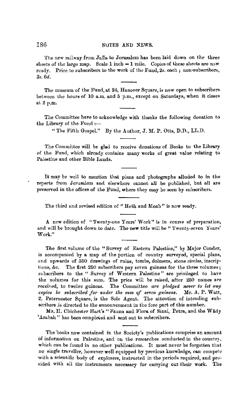The new railway from Jaffa to Jerusalem has been laid down on the three sheets of the large map. Scale  $1$  inch  $= 1$  mile. Copies of these sheets are now ready. Price to subscribers to the work of the Fund, 2s. each; non-subscribers, 2s. 6d.

The museum of the Fund, at 24, Hanover Square, is now open to subscribers between the hours of **10** a.m. and 5 p.m., except on Saturdays, when it closes at 2 p.m.

The Committee have to acknowledge with thanks the following donation to the Library of the Fund;-

" The Fifth Gospel." By the Author, J.M. P. Otts, D.D., LL.D.

The Committee will be glad to receive donations of Books to the Library of the Fund, which already contains many works of great value relating to Palestine and other Bible Lands,

It may be well to mention that plans and photographs alluded to in the reports from Jerusalem and elsewhere cannot all be published, but all are preserved in the offices of the Fund, where they may be seen by subscribers.

The third and revised edition of "Heth and Moab" is now ready.

A new edition of "Twenty-one Years' Work" is in course of preparation, and will be brought down to date. The new title will be "Twenty-seven Years' Work."

The first volume of the "Survey of Eastern Palestine," by Major Conder, is accompanied by **a** map of the portion of country surveyed, special plans, end upwards of 350 drawings of ruins, tombs, dolmens, stone circles, inscriplions, &c. The first 250 subscribers pay seven guineas for the three volumes; subscribers to the " Survey of Western Palestine" are privileged to have the volumes for this sum. The price will be raised, after 250 names are received, to twelve guineas. The Committee are pledged never to let any *copies he subscribed for under the sum of seven guineas.* Mr. A. P. Watt, 2, Paternoster Square, is the Sole Agent. The attention of intending subscribers is directed to the announcement in the fore part of this number.

Mr. H. Chichester Hart's "Fauna and Flora of Sinai, Petra, and the Wâdy 'Arabah" has been completed and sent out to subscribers.

The books now contained in the Society's publications comprise an amount of information on Palestine, and on the researches conducted in the country, which can be found in no other publications. It must never be forgotten that no single traveller, however well equipped by previous knowledge, can compete with a scientific body of explorers, instructed in the periods required, and provided with all the instruments necessary for carrying cut their work. The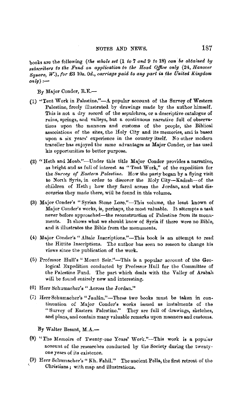books are the following *(the whole set* (1 to 7 *and* 9 *to* 18) *can be obtai'ned* by *subscribers to the Fund on application to the Head Office only (24, Hanover Square,* W.), *for* £3 *10s. Od., carriage paid to any part in.the United Kingdom*   $\overline{only}:$ 

By Major Conder, R.E.-

- (1) "Tent Work in Palestine." $-A$  popular account of the Survey of Western Palestine, freely illustrated by drawings made by the author himself. This is not a dry record of the sepulchres, or a descriptive catalogue of ruins, springs, and valleys, but a continuous narrative full of observations upon the manners and customs of the people, the Biblical associations of the sites, the Holy City and its memories, and is based upon a six years' experience in the country itself. No other modern traveller has enjoyed the same advantages as Major Conder, or has used his opportunities to better purpose.
- (2) "Heth and Moab."-Under this title Major Conder provides a narrative, as bright and as full of interest as "Tent Work," of the expedition for the *Survey of Eastern Palestine.* How the party began by a flying visit to North Syria, in order to discover the Holy City-Kadesh-of the children of Heth; how they fared across the Jordan, and what discoveries they made there, will be found in this volume.
- (3) Major Conder's "Syrian Stone Lore."-This volume, the least known of Major Conder's works, is, perhaps, the most valuable. It attempts a task never before approached—the reconstruction of Palestine from its monuments. It shows what we should know of Syria if there were no Bible, and it illustrates the Bible from the monuments.
- (4) Major Conder's "Altaic Inscriptions."-This book is an attempt to read the Hittite Inscriptions. The author has seen no reason to change his views since the publication of the work.
- (5) Professor Hull's "Mount Seir."-This is a popular account of the Geological Expedition conducted by Professor Hull for the Committee of the Palestine Fund. The part which deals with the Valley of Arabah will be found entirely new and interesting.
- (6) Herr Schumacher's " Across the Jordan."
- (7) Herr Schumacher's "Jaulân."-These two books must be taken in continuation of Major Conder's works issued as instalments of the "Survey of Eastern Palestine." They are full of drawings, sketches, and plans, and contain many valuable remarks upon manners and customs.

**By** Walter Besant, **M . .A..-**

- (8) "The Memoirs of Twenty-one Years' Work."-This work is a popuiar account of the researches conducted by the Society during the twentyone years of its existence.
- (9) Herr Schumacher's "Kh. Fahil." The ancient Pella, the first retreat of the Christians; with map and illustrations.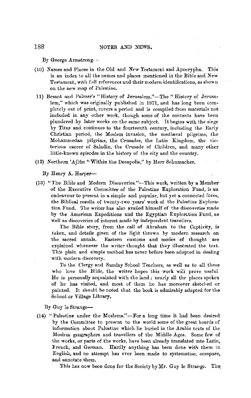By George Armstrong- -

- (10) Names and Places in the Old and New Testament and Apocrypha. This is an index to all the nemes and places mentioned in the Bible and New Testament, with full references and their modern identifications, as shown on the new map of Palestine.
- 11) Besant and Palmer's "History of Jernsalem."-The "History of Jerusalem," which was originally published in i871, and has long been completely out of print, covers a period and is compiled from materials not included in any other work, though some of the contents have been plundered by later works on the same subject. It begins with the siege by Titus and continues to the fourteenth century, including the Early Christian period, the Moslem invasion, the mediaval pilgrims, the Mohammedan pilgrims, the Crusades, the Latin Kingdom, the victorious career of Saladin, the Crusade of Children, and many other little-known episodes in the history of the city and the country.
- (12) Northern 'Ajlûn "Within the Decapolis," by Herr Schumacher.

#### By Henry **A.** Harper-

(13) "The Bible and Modern Discoveries."-This work, written by a Member of the Executive Committee of the Palestine Exploration Fund, is an endeavour to present in a simple and popular, but yet **a** connected form, the Biblical results of twenty-two years' work of the Palestine Exploration Fund. The writer has also availed himself of the discoveries made by the American Expeditions and the Egyptian Exploration Fund, as well as discoveries of interest made hy independent travellers.

The Bible story, from the call of Abraham to the Captivity, is taken, and details given of the light thrown by modern research on the sacred annals. Eastern customs and modes of thought are explained whenever the writer thought that they illustrated the text. This plain and simple method has never before been adopted in dealing with modern discovery.

To the Clergy and Sunday School Teachers, as well as to all those who love the Bible, the writer hopes this work will prove useful He is personally acquainted with the land; nearly all the places spoken of he has visited, and most of them he has moreover sketched or painted. It should be noted that the book is admirably adapted for the School or Village Library.

By Guy le Strange-

(14) "Palestine under the Moslems."-For a long time it had been desired by the Committee to present to the world some of the great hoards of information about Palestine which lie buried in the Arabic texts of the Moslem geographers and travellers of the Middle Ages, Some few of the works, or parts of the works, have been already translated into Latin, French, and German. Hardly anything has been done with them in, English, and no attempt has ever been. made to systematise, compare, and annotate them.

This has now been done for the Society by Mr. Guy le Strange. The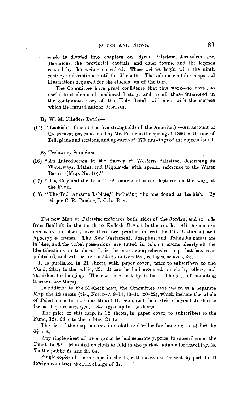work is divided into chapters on Syria, Palestine, Jerusalem, and Damascus, the provincial capitals and chief towns, and the legends related by the writers consulted. These writers begin with the ninth century and continue until the fifteenth. The volume contains maps and illustrations required for the elucidation of the text.

The Committee have great confidence that this work-so novel, so useful to students of mediæval history, and to all those interested in the continuous story of the Holy Land-will meet with the success which its learned author deserves.

**By W. M.** Flinders Petrie-

(15) "Lachish" (one of the five strongholds of the Amorites).—An account of the excavations conducted by Mr. Petrie in the spring of 1890, with view of Tell, plans and sections, and upwards of 270 drawings of the objects found.

By Trelawney Saunders-

- (16) "An Introduction to the Survey of Western Palestine, describing its Waterways, Plains, and Highlands, with special reference to the Water Basin-(Map. No. 10)."
- (17) "The City and the Land."-A course of seven lectures on the work of the Fund,
- (18) "The Tell Amarna Tablets," including the one found at Lachish. By Major C. R. Conder, D.C.L., R.E.

The new Map of Palestine embraces both sides of the Jordan, and extends from Baalbek in the north to Kadesh Barnea in the •outh. All the modern names are in black; over these are printed in red the Old Testament and Apocrypha names. The New Testament, Josephus, and Talmudic names are in blue, and the tribal possessions are tinted in colours, giving clearly all the identifications up to date. It is the most comprehensive map that has been published, and will be invaluable to universities, colleges, schools,  $\&c$ .

It is published in 21 sheets, with paper cover; price to subscribers to the Fund, 24s.; to the public,  $£2$ . It can be had mounted on cloth, rollers, and varnished for banging. The size is 8 feet by 6 feet. The cost of mounting is extra ( *see* Maps).

In addition to the 21-shect map, the Committee have issued as a separate Map the 12 sheets (viz., Nos. 5-7, 9-11, 13-15, 20-22), which include the whole of Palestine as far north us Mount Hermon, and the districts beyond Jordan as far as they are surveyed. *See* key-map to the sheets.

The price of this map, in 12 sheots, in paper cover, to subscribers to the Fund, 12s. *6d.;* to the public, £1 ls.

The size of the map, mounted on cloth and roller for hanging, is  $4\frac{1}{2}$  feet by  $6\frac{3}{4}$  feet.

Any single sheet of the map can be had separately, price, to subscribers of the Fund, ls. *6d.* Mounted on cloth to fold in the pocket suitable tor travelling, 2s. To the public 2s. and 2s. Gd.

Single copies of these maps in sheets, with cover, can be sent by post to all foreign countries at extra charge of ls.